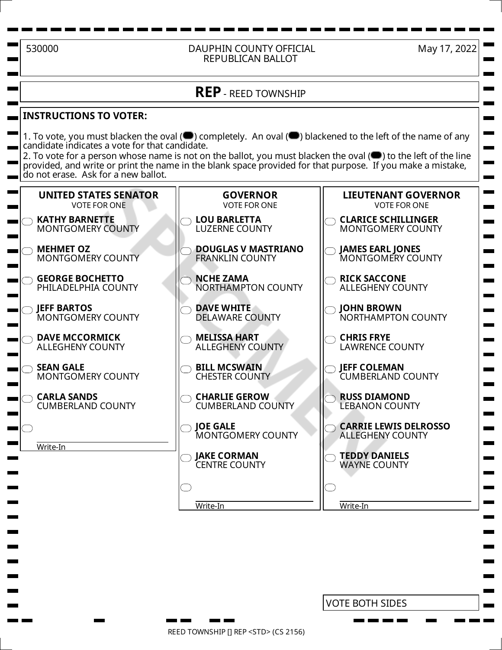## 530000 DAUPHIN COUNTY OFFICIAL REPUBLICAN BALLOT

May 17, 2022

## **REP**- REED TOWNSHIP

## **INSTRUCTIONS TO VOTER:**

1. To vote, you must blacken the oval ( $\blacksquare$ ) completely. An oval ( $\blacksquare$ ) blackened to the left of the name of any candidate indicates a vote for that candidate.

2. To vote for a person whose name is not on the ballot, you must blacken the oval  $($ **)** to the left of the line provided, and write or print the name in the blank space provided for that purpose. If you make a mistake, do not erase. Ask for a new ballot.